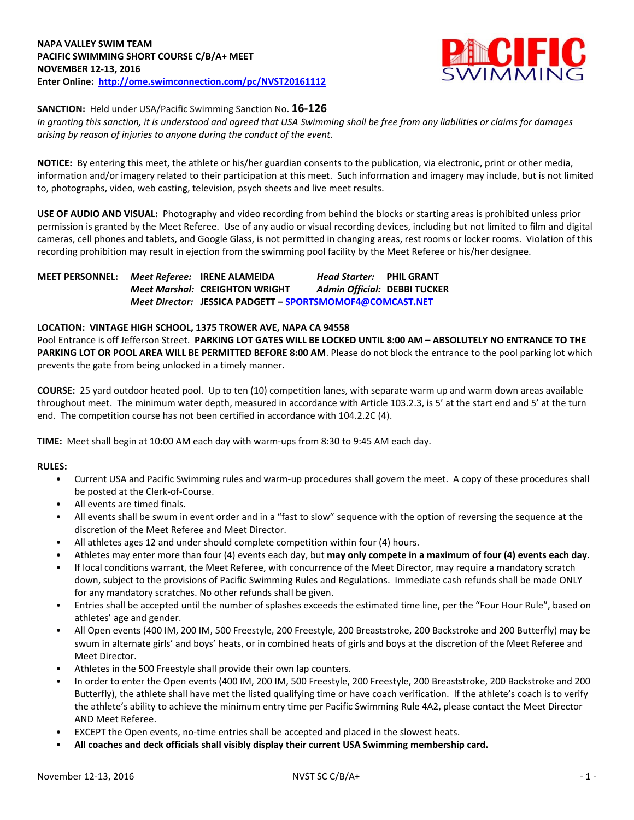

**SANCTION:** Held under USA/Pacific Swimming Sanction No. **16-126**

*In granting this sanction, it is understood and agreed that USA Swimming shall be free from any liabilities or claims for damages arising by reason of injuries to anyone during the conduct of the event.*

**NOTICE:** By entering this meet, the athlete or his/her guardian consents to the publication, via electronic, print or other media, information and/or imagery related to their participation at this meet. Such information and imagery may include, but is not limited to, photographs, video, web casting, television, psych sheets and live meet results.

**USE OF AUDIO AND VISUAL:** Photography and video recording from behind the blocks or starting areas is prohibited unless prior permission is granted by the Meet Referee. Use of any audio or visual recording devices, including but not limited to film and digital cameras, cell phones and tablets, and Google Glass, is not permitted in changing areas, rest rooms or locker rooms. Violation of this recording prohibition may result in ejection from the swimming pool facility by the Meet Referee or his/her designee.

**MEET PERSONNEL:** *Meet Referee:* **IRENE ALAMEIDA** *Head Starter:* **PHIL GRANT** *Meet Marshal:* **CREIGHTON WRIGHT** *Admin Official:* **DEBBI TUCKER** *Meet Director:* **JESSICA PADGETT – [SPORTSMOMOF4@COMCAST.NET](mailto:SPORTSMOMOF4@COMCAST.NET)**

# **LOCATION: VINTAGE HIGH SCHOOL, 1375 TROWER AVE, NAPA CA 94558**

Pool Entrance is off Jefferson Street. **PARKING LOT GATES WILL BE LOCKED UNTIL 8:00 AM – ABSOLUTELY NO ENTRANCE TO THE**  PARKING LOT OR POOL AREA WILL BE PERMITTED BEFORE 8:00 AM. Please do not block the entrance to the pool parking lot which prevents the gate from being unlocked in a timely manner.

**COURSE:** 25 yard outdoor heated pool. Up to ten (10) competition lanes, with separate warm up and warm down areas available throughout meet. The minimum water depth, measured in accordance with Article 103.2.3, is 5' at the start end and 5' at the turn end. The competition course has not been certified in accordance with 104.2.2C (4).

**TIME:** Meet shall begin at 10:00 AM each day with warm-ups from 8:30 to 9:45 AM each day.

## **RULES:**

- Current USA and Pacific Swimming rules and warm-up procedures shall govern the meet. A copy of these procedures shall be posted at the Clerk-of-Course.
- All events are timed finals.
- All events shall be swum in event order and in a "fast to slow" sequence with the option of reversing the sequence at the discretion of the Meet Referee and Meet Director.
- All athletes ages 12 and under should complete competition within four (4) hours.
- Athletes may enter more than four (4) events each day, but **may only compete in a maximum of four (4) events each day**.
- If local conditions warrant, the Meet Referee, with concurrence of the Meet Director, may require a mandatory scratch down, subject to the provisions of Pacific Swimming Rules and Regulations. Immediate cash refunds shall be made ONLY for any mandatory scratches. No other refunds shall be given.
- Entries shall be accepted until the number of splashes exceeds the estimated time line, per the "Four Hour Rule", based on athletes' age and gender.
- All Open events (400 IM, 200 IM, 500 Freestyle, 200 Freestyle, 200 Breaststroke, 200 Backstroke and 200 Butterfly) may be swum in alternate girls' and boys' heats, or in combined heats of girls and boys at the discretion of the Meet Referee and Meet Director.
- Athletes in the 500 Freestyle shall provide their own lap counters.
- In order to enter the Open events (400 IM, 200 IM, 500 Freestyle, 200 Freestyle, 200 Breaststroke, 200 Backstroke and 200 Butterfly), the athlete shall have met the listed qualifying time or have coach verification. If the athlete's coach is to verify the athlete's ability to achieve the minimum entry time per Pacific Swimming Rule 4A2, please contact the Meet Director AND Meet Referee.
- EXCEPT the Open events, no-time entries shall be accepted and placed in the slowest heats.
- **All coaches and deck officials shall visibly display their current USA Swimming membership card.**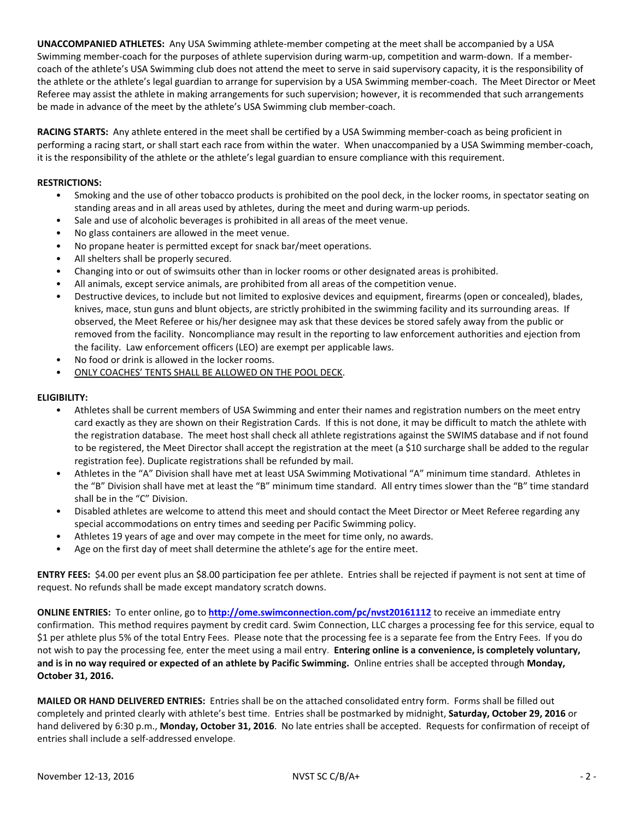**UNACCOMPANIED ATHLETES:** Any USA Swimming athlete-member competing at the meet shall be accompanied by a USA Swimming member-coach for the purposes of athlete supervision during warm-up, competition and warm-down. If a membercoach of the athlete's USA Swimming club does not attend the meet to serve in said supervisory capacity, it is the responsibility of the athlete or the athlete's legal guardian to arrange for supervision by a USA Swimming member-coach. The Meet Director or Meet Referee may assist the athlete in making arrangements for such supervision; however, it is recommended that such arrangements be made in advance of the meet by the athlete's USA Swimming club member-coach.

**RACING STARTS:** Any athlete entered in the meet shall be certified by a USA Swimming member-coach as being proficient in performing a racing start, or shall start each race from within the water. When unaccompanied by a USA Swimming member-coach, it is the responsibility of the athlete or the athlete's legal guardian to ensure compliance with this requirement.

## **RESTRICTIONS:**

- Smoking and the use of other tobacco products is prohibited on the pool deck, in the locker rooms, in spectator seating on standing areas and in all areas used by athletes, during the meet and during warm-up periods.
- Sale and use of alcoholic beverages is prohibited in all areas of the meet venue.
- No glass containers are allowed in the meet venue.
- No propane heater is permitted except for snack bar/meet operations.
- All shelters shall be properly secured.
- Changing into or out of swimsuits other than in locker rooms or other designated areas is prohibited.
- All animals, except service animals, are prohibited from all areas of the competition venue.
- Destructive devices, to include but not limited to explosive devices and equipment, firearms (open or concealed), blades, knives, mace, stun guns and blunt objects, are strictly prohibited in the swimming facility and its surrounding areas. If observed, the Meet Referee or his/her designee may ask that these devices be stored safely away from the public or removed from the facility. Noncompliance may result in the reporting to law enforcement authorities and ejection from the facility. Law enforcement officers (LEO) are exempt per applicable laws.
- No food or drink is allowed in the locker rooms.
- ONLY COACHES' TENTS SHALL BE ALLOWED ON THE POOL DECK.

#### **ELIGIBILITY:**

- Athletes shall be current members of USA Swimming and enter their names and registration numbers on the meet entry card exactly as they are shown on their Registration Cards. If this is not done, it may be difficult to match the athlete with the registration database. The meet host shall check all athlete registrations against the SWIMS database and if not found to be registered, the Meet Director shall accept the registration at the meet (a \$10 surcharge shall be added to the regular registration fee). Duplicate registrations shall be refunded by mail.
- Athletes in the "A" Division shall have met at least USA Swimming Motivational "A" minimum time standard. Athletes in the "B" Division shall have met at least the "B" minimum time standard. All entry times slower than the "B" time standard shall be in the "C" Division.
- Disabled athletes are welcome to attend this meet and should contact the Meet Director or Meet Referee regarding any special accommodations on entry times and seeding per Pacific Swimming policy.
- Athletes 19 years of age and over may compete in the meet for time only, no awards.
- Age on the first day of meet shall determine the athlete's age for the entire meet.

**ENTRY FEES:** \$4.00 per event plus an \$8.00 participation fee per athlete. Entries shall be rejected if payment is not sent at time of request. No refunds shall be made except mandatory scratch downs.

**ONLINE ENTRIES:** To enter online, go to **<http://ome.swimconnection.com/pc/nvst20161112>** to receive an immediate entry confirmation. This method requires payment by credit card. Swim Connection, LLC charges a processing fee for this service, equal to \$1 per athlete plus 5% of the total Entry Fees. Please note that the processing fee is a separate fee from the Entry Fees. If you do not wish to pay the processing fee, enter the meet using a mail entry. **Entering online is a convenience, is completely voluntary, and is in no way required or expected of an athlete by Pacific Swimming.** Online entries shall be accepted through **Monday, October 31, 2016.**

**MAILED OR HAND DELIVERED ENTRIES:** Entries shall be on the attached consolidated entry form. Forms shall be filled out completely and printed clearly with athlete's best time. Entries shall be postmarked by midnight, **Saturday, October 29, 2016** or hand delivered by 6:30 p.m., **Monday, October 31, 2016**. No late entries shall be accepted. Requests for confirmation of receipt of entries shall include a self-addressed envelope.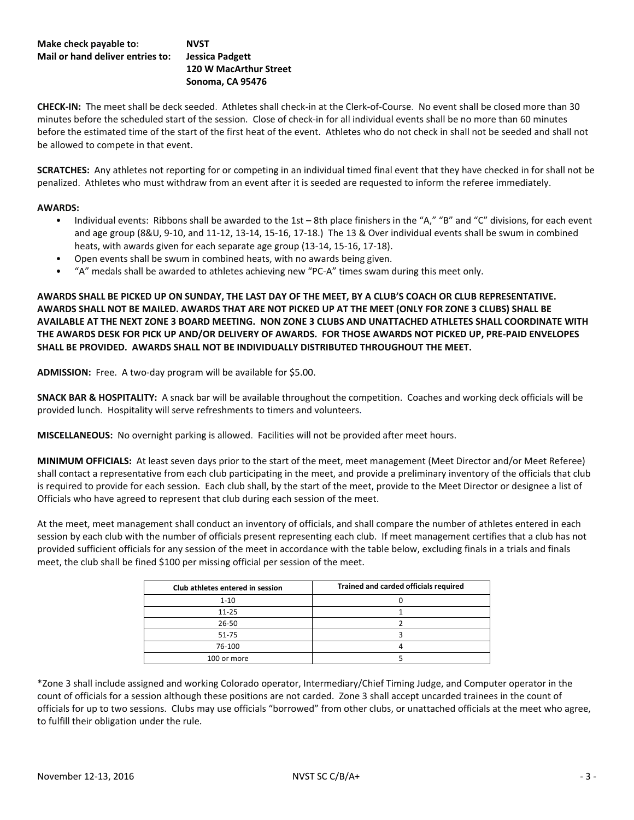**Sonoma, CA 95476**

**CHECK-IN:** The meet shall be deck seeded. Athletes shall check-in at the Clerk-of-Course. No event shall be closed more than 30 minutes before the scheduled start of the session. Close of check-in for all individual events shall be no more than 60 minutes before the estimated time of the start of the first heat of the event. Athletes who do not check in shall not be seeded and shall not be allowed to compete in that event.

**SCRATCHES:** Any athletes not reporting for or competing in an individual timed final event that they have checked in for shall not be penalized. Athletes who must withdraw from an event after it is seeded are requested to inform the referee immediately.

#### **AWARDS:**

- Individual events: Ribbons shall be awarded to the 1st 8th place finishers in the "A," "B" and "C" divisions, for each event and age group (8&U, 9-10, and 11-12, 13-14, 15-16, 17-18.) The 13 & Over individual events shall be swum in combined heats, with awards given for each separate age group (13-14, 15-16, 17-18).
- Open events shall be swum in combined heats, with no awards being given.
- "A" medals shall be awarded to athletes achieving new "PC-A" times swam during this meet only.

**AWARDS SHALL BE PICKED UP ON SUNDAY, THE LAST DAY OF THE MEET, BY A CLUB'S COACH OR CLUB REPRESENTATIVE. AWARDS SHALL NOT BE MAILED. AWARDS THAT ARE NOT PICKED UP AT THE MEET (ONLY FOR ZONE 3 CLUBS) SHALL BE AVAILABLE AT THE NEXT ZONE 3 BOARD MEETING. NON ZONE 3 CLUBS AND UNATTACHED ATHLETES SHALL COORDINATE WITH THE AWARDS DESK FOR PICK UP AND/OR DELIVERY OF AWARDS. FOR THOSE AWARDS NOT PICKED UP, PRE-PAID ENVELOPES SHALL BE PROVIDED. AWARDS SHALL NOT BE INDIVIDUALLY DISTRIBUTED THROUGHOUT THE MEET.**

**ADMISSION:** Free. A two-day program will be available for \$5.00.

**SNACK BAR & HOSPITALITY:** A snack bar will be available throughout the competition. Coaches and working deck officials will be provided lunch. Hospitality will serve refreshments to timers and volunteers.

**MISCELLANEOUS:** No overnight parking is allowed. Facilities will not be provided after meet hours.

**MINIMUM OFFICIALS:** At least seven days prior to the start of the meet, meet management (Meet Director and/or Meet Referee) shall contact a representative from each club participating in the meet, and provide a preliminary inventory of the officials that club is required to provide for each session. Each club shall, by the start of the meet, provide to the Meet Director or designee a list of Officials who have agreed to represent that club during each session of the meet.

At the meet, meet management shall conduct an inventory of officials, and shall compare the number of athletes entered in each session by each club with the number of officials present representing each club. If meet management certifies that a club has not provided sufficient officials for any session of the meet in accordance with the table below, excluding finals in a trials and finals meet, the club shall be fined \$100 per missing official per session of the meet.

| Club athletes entered in session | Trained and carded officials required |  |  |  |  |
|----------------------------------|---------------------------------------|--|--|--|--|
| $1 - 10$                         |                                       |  |  |  |  |
| $11 - 25$                        |                                       |  |  |  |  |
| $26 - 50$                        |                                       |  |  |  |  |
| $51 - 75$                        |                                       |  |  |  |  |
| 76-100                           |                                       |  |  |  |  |
| 100 or more                      |                                       |  |  |  |  |

\*Zone 3 shall include assigned and working Colorado operator, Intermediary/Chief Timing Judge, and Computer operator in the count of officials for a session although these positions are not carded. Zone 3 shall accept uncarded trainees in the count of officials for up to two sessions. Clubs may use officials "borrowed" from other clubs, or unattached officials at the meet who agree, to fulfill their obligation under the rule.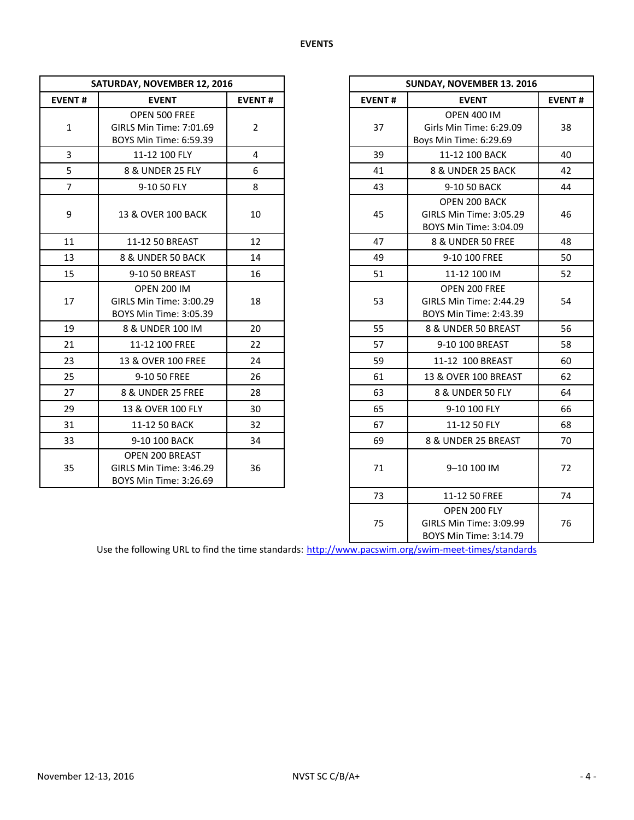| SATURDAY, NOVEMBER 12, 2016 |                                                                         |                | SUNDAY, NOVEMBER 13. 2016 |                                                                         |
|-----------------------------|-------------------------------------------------------------------------|----------------|---------------------------|-------------------------------------------------------------------------|
| <b>EVENT#</b>               | <b>EVENT</b>                                                            | <b>EVENT#</b>  | <b>EVENT#</b>             | <b>EVENT</b>                                                            |
| $\mathbf{1}$                | OPEN 500 FREE<br>GIRLS Min Time: 7:01.69<br>BOYS Min Time: 6:59.39      | $\overline{2}$ | 37                        | <b>OPEN 400 IM</b><br>Girls Min Time: 6:29.09<br>Boys Min Time: 6:29.69 |
| 3                           | 11-12 100 FLY                                                           | $\overline{4}$ | 39                        | 11-12 100 BACK                                                          |
| 5                           | 8 & UNDER 25 FLY                                                        | 6              | 41                        | 8 & UNDER 25 BACK                                                       |
| $\overline{7}$              | 9-10 50 FLY                                                             | 8              | 43                        | 9-10 50 BACK                                                            |
| 9                           | 13 & OVER 100 BACK                                                      | 10             | 45                        | OPEN 200 BACK<br>GIRLS Min Time: 3:05.29<br>BOYS Min Time: 3:04.09      |
| 11                          | 11-12 50 BREAST                                                         | 12             | 47                        | 8 & UNDER 50 FREE                                                       |
| 13                          | 8 & UNDER 50 BACK                                                       | 14             | 49                        | 9-10 100 FREE                                                           |
| 15                          | 9-10 50 BREAST                                                          | 16             | 51                        | 11-12 100 IM                                                            |
| 17                          | <b>OPEN 200 IM</b><br>GIRLS Min Time: 3:00.29<br>BOYS Min Time: 3:05.39 | 18             | 53                        | OPEN 200 FREE<br>GIRLS Min Time: 2:44.29<br>BOYS Min Time: 2:43.39      |
| 19                          | 8 & UNDER 100 IM                                                        | 20             | 55                        | 8 & UNDER 50 BREAST                                                     |
| 21                          | 11-12 100 FREE                                                          | 22             | 57                        | 9-10 100 BREAST                                                         |
| 23                          | 13 & OVER 100 FREE                                                      | 24             | 59                        | 11-12 100 BREAST                                                        |
| 25                          | 9-10 50 FREE                                                            | 26             | 61                        | 13 & OVER 100 BREAST                                                    |
| 27                          | 8 & UNDER 25 FREE                                                       | 28             | 63                        | 8 & UNDER 50 FLY                                                        |
| 29                          | 13 & OVER 100 FLY                                                       | 30             | 65                        | 9-10 100 FLY                                                            |
| 31                          | 11-12 50 BACK                                                           | 32             | 67                        | 11-12 50 FLY                                                            |
| 33                          | 9-10 100 BACK                                                           | 34             | 69                        | 8 & UNDER 25 BREAST                                                     |
| 35                          | OPEN 200 BREAST<br>GIRLS Min Time: 3:46.29<br>BOYS Min Time: 3:26.69    | 36             | 71                        | 9-10 100 IM                                                             |

|                | SATURDAY, NOVEMBER 12, 2016                                             |                |               | SUNDAY, NOVEMBER 13. 2016                                               |               |  |
|----------------|-------------------------------------------------------------------------|----------------|---------------|-------------------------------------------------------------------------|---------------|--|
| <b>EVENT#</b>  | <b>EVENT</b>                                                            | <b>EVENT#</b>  | <b>EVENT#</b> | <b>EVENT</b>                                                            | <b>EVENT#</b> |  |
| $\mathbf 1$    | OPEN 500 FREE<br>GIRLS Min Time: 7:01.69<br>BOYS Min Time: 6:59.39      | $\overline{2}$ | 37            | <b>OPEN 400 IM</b><br>Girls Min Time: 6:29.09<br>Boys Min Time: 6:29.69 | 38            |  |
| $\overline{3}$ | 11-12 100 FLY                                                           | $\overline{4}$ | 39            | 11-12 100 BACK                                                          | 40            |  |
| 5              | 8 & UNDER 25 FLY                                                        | 6              | 41            | 8 & UNDER 25 BACK                                                       | 42            |  |
| $\overline{7}$ | 9-10 50 FLY                                                             | 8              | 43            | 9-10 50 BACK                                                            | 44            |  |
| 9              | 13 & OVER 100 BACK                                                      | 10             | 45            | OPEN 200 BACK<br>GIRLS Min Time: 3:05.29<br>BOYS Min Time: 3:04.09      | 46            |  |
| 11             | 11-12 50 BREAST                                                         | 12             | 47            | 8 & UNDER 50 FREE                                                       | 48            |  |
| 13             | 8 & UNDER 50 BACK                                                       | 14             | 49            | 9-10 100 FREE                                                           | 50            |  |
| 15             | 9-10 50 BREAST                                                          | 16             | 51            | 11-12 100 IM                                                            | 52            |  |
| 17             | <b>OPEN 200 IM</b><br>GIRLS Min Time: 3:00.29<br>BOYS Min Time: 3:05.39 | 18             | 53            | OPEN 200 FREE<br>GIRLS Min Time: 2:44.29<br>BOYS Min Time: 2:43.39      | 54            |  |
| 19             | 8 & UNDER 100 IM                                                        | 20             | 55            | 8 & UNDER 50 BREAST                                                     | 56            |  |
| 21             | 11-12 100 FREE                                                          | 22             | 57            | 9-10 100 BREAST                                                         | 58            |  |
| 23             | 13 & OVER 100 FREE                                                      | 24             | 59            | 11-12 100 BREAST                                                        | 60            |  |
| 25             | 9-10 50 FREE                                                            | 26             | 61            | 13 & OVER 100 BREAST                                                    | 62            |  |
| 27             | 8 & UNDER 25 FREE                                                       | 28             | 63            | 8 & UNDER 50 FLY                                                        | 64            |  |
| 29             | 13 & OVER 100 FLY                                                       | 30             | 65            | 9-10 100 FLY                                                            | 66            |  |
| 31             | 11-12 50 BACK                                                           | 32             | 67            | 11-12 50 FLY                                                            | 68            |  |
| 33             | 9-10 100 BACK                                                           | 34             | 69            | 8 & UNDER 25 BREAST                                                     | 70            |  |
| 35             | OPEN 200 BREAST<br>GIRLS Min Time: 3:46.29<br>BOYS Min Time: 3:26.69    | 36             | 71            | 9-10 100 IM                                                             | 72            |  |
|                |                                                                         |                | 73            | 11-12 50 FREE                                                           | 74            |  |
|                |                                                                         |                | 75            | OPEN 200 FLY<br>GIRLS Min Time: 3:09.99<br>BOYS Min Time: 3:14.79       | 76            |  |

Use the following URL to find the time standards: <http://www.pacswim.org/swim-meet-times/standards>